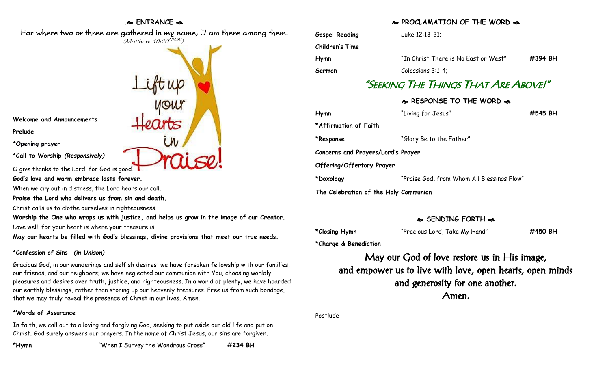### **. ENTRANCE**

For where two or three are gathered in my name, I am there among them.

 $(M$ atthew 18:20 $^{VRSV})$ 

**Welcome and Announcements**

**Prelude**

**\*Opening prayer**

**\*Call to Worship** *(Responsively)*

O give thanks to the Lord, for God is good.

**God's love and warm embrace lasts forever.**

When we cry out in distress, the Lord hears our call.

**Praise the Lord who delivers us from sin and death.**

Christ calls us to clothe ourselves in righteousness.

**Worship the One who wraps us with justice, and helps us grow in the image of our Creator.** Love well, for your heart is where your treasure is.

**May our hearts be filled with God's blessings, divine provisions that meet our true needs.**

# **\*Confession of Sins** *(in Unison)*

Gracious God, in our wanderings and selfish desires: we have forsaken fellowship with our families, our friends, and our neighbors; we have neglected our communion with You, choosing worldly pleasures and desires over truth, justice, and righteousness. In a world of plenty, we have hoarded our earthly blessings, rather than storing up our heavenly treasures. Free us from such bondage, that we may truly reveal the presence of Christ in our lives. Amen.

## **\*Words of Assurance**

In faith, we call out to a loving and forgiving God, seeking to put aside our old life and put on Christ. God surely answers our prayers. In the name of Christ Jesus, our sins are forgiven.

# **A. PROCLAMATION OF THE WORD AS**

| <b>Gospel Reading</b>                | Luke 12:13-21;                             |         |
|--------------------------------------|--------------------------------------------|---------|
| <b>Children's Time</b>               |                                            |         |
| Hymn                                 | "In Christ There is No East or West"       | #394 BH |
| Sermon                               | Colossians 3:1-4;                          |         |
| "Seeking The Things That Are Above!" |                                            |         |
|                                      | & RESPONSE TO THE WORD &                   |         |
| Hymn                                 | "Living for Jesus"                         | #545 BH |
| *Affirmation of Faith                |                                            |         |
| *Response                            | "Glory Be to the Father"                   |         |
| Concerns and Prayers/Lord's Prayer   |                                            |         |
| Offering/Offertory Prayer            |                                            |         |
| *Doxology                            | "Praise God, from Whom All Blessings Flow" |         |
|                                      |                                            |         |

**The Celebration of the Holy Communion**

# **SENDING FORTH**

**\*Closing Hymn** "Precious Lord, Take My Hand" **#450 BH**

**\*Charge & Benediction**

May our God of love restore us in His image, and empower us to live with love, open hearts, open minds and generosity for one another. Amen.

Postlude